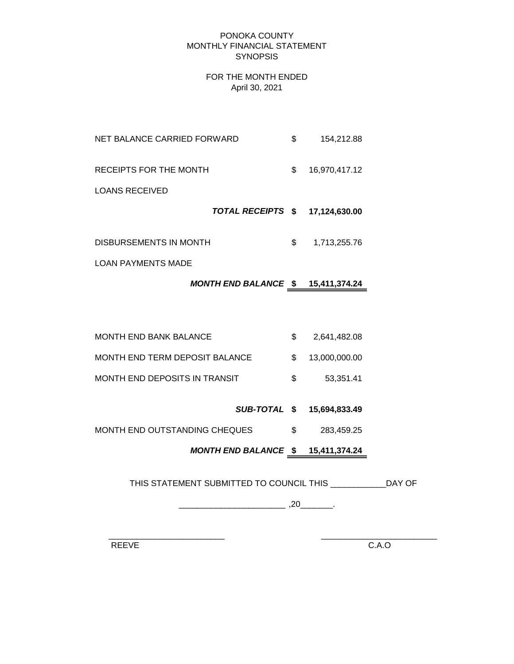#### PONOKA COUNTY MONTHLY FINANCIAL STATEMENT **SYNOPSIS**

#### FOR THE MONTH ENDED April 30, 2021

| NET BALANCE CARRIED FORWARD | \$<br>154,212.88    |
|-----------------------------|---------------------|
| RECEIPTS FOR THE MONTH      | \$<br>16,970,417.12 |
| LOANS RECEIVED              |                     |
| TOTAL RECEIPTS \$           | 17,124,630.00       |
| DISBURSEMENTS IN MONTH      | \$<br>1,713,255.76  |

LOAN PAYMENTS MADE

# *MONTH END BALANCE* **\$ 15,411,374.24**

| <b>MONTH END BANK BALANCE</b>  |     | 2,641,482.08     |
|--------------------------------|-----|------------------|
| MONTH END TERM DEPOSIT BALANCE |     | \$ 13,000,000,00 |
| MONTH END DEPOSITS IN TRANSIT  | SS. | 53.351.41        |

#### *SUB-TOTAL* **\$ 15,694,833.49**

MONTH END OUTSTANDING CHEQUES  $$3,459.25$ 

# *MONTH END BALANCE* **\$ 15,411,374.24**

THIS STATEMENT SUBMITTED TO COUNCIL THIS \_\_\_\_\_\_\_\_\_\_\_\_DAY OF

\_\_\_\_\_\_\_\_\_\_\_\_\_\_\_\_\_\_\_\_\_\_\_ ,20\_\_\_\_\_\_\_.

 $\frac{1}{2}$  ,  $\frac{1}{2}$  ,  $\frac{1}{2}$  ,  $\frac{1}{2}$  ,  $\frac{1}{2}$  ,  $\frac{1}{2}$  ,  $\frac{1}{2}$  ,  $\frac{1}{2}$  ,  $\frac{1}{2}$  ,  $\frac{1}{2}$  ,  $\frac{1}{2}$  ,  $\frac{1}{2}$  ,  $\frac{1}{2}$  ,  $\frac{1}{2}$  ,  $\frac{1}{2}$  ,  $\frac{1}{2}$  ,  $\frac{1}{2}$  ,  $\frac{1}{2}$  ,  $\frac{1$ 

REEVE C.A.O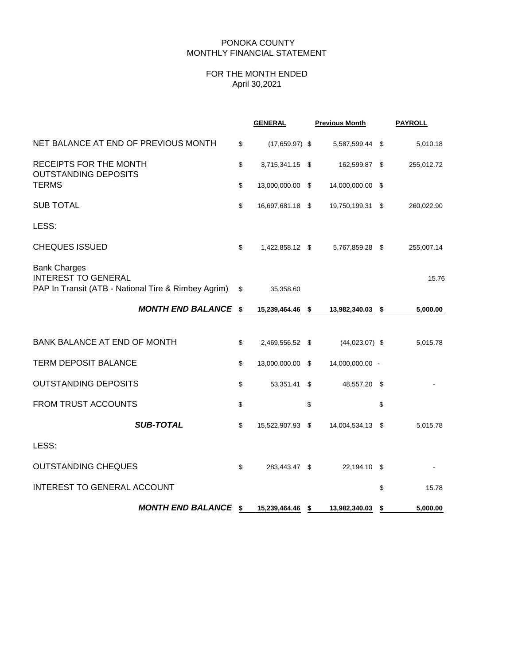### PONOKA COUNTY MONTHLY FINANCIAL STATEMENT

## FOR THE MONTH ENDED April 30,2021

|                                                                                                          | <b>GENERAL</b>         | <b>Previous Month</b> | <b>PAYROLL</b> |
|----------------------------------------------------------------------------------------------------------|------------------------|-----------------------|----------------|
| NET BALANCE AT END OF PREVIOUS MONTH                                                                     | \$<br>$(17,659.97)$ \$ | 5,587,599.44 \$       | 5,010.18       |
| RECEIPTS FOR THE MONTH<br><b>OUTSTANDING DEPOSITS</b>                                                    | \$<br>3,715,341.15 \$  | 162,599.87 \$         | 255,012.72     |
| <b>TERMS</b>                                                                                             | \$<br>13,000,000.00 \$ | 14,000,000.00 \$      |                |
| <b>SUB TOTAL</b>                                                                                         | \$<br>16,697,681.18 \$ | 19,750,199.31 \$      | 260,022.90     |
| LESS:                                                                                                    |                        |                       |                |
| <b>CHEQUES ISSUED</b>                                                                                    | \$<br>1,422,858.12 \$  | 5,767,859.28 \$       | 255,007.14     |
| <b>Bank Charges</b><br><b>INTEREST TO GENERAL</b><br>PAP In Transit (ATB - National Tire & Rimbey Agrim) | \$<br>35,358.60        |                       | 15.76          |
| <b>MONTH END BALANCE \$</b>                                                                              | 15,239,464.46 \$       | 13,982,340.03 \$      | 5,000.00       |
| BANK BALANCE AT END OF MONTH                                                                             | \$<br>2,469,556.52 \$  | $(44,023.07)$ \$      | 5,015.78       |
| <b>TERM DEPOSIT BALANCE</b>                                                                              | \$<br>13,000,000.00 \$ | 14,000,000.00 -       |                |
| <b>OUTSTANDING DEPOSITS</b>                                                                              | \$<br>53,351.41 \$     | 48,557.20 \$          |                |
| FROM TRUST ACCOUNTS                                                                                      | \$                     | \$                    | \$             |
| <b>SUB-TOTAL</b>                                                                                         | \$<br>15,522,907.93 \$ | 14,004,534.13 \$      | 5,015.78       |
| LESS:                                                                                                    |                        |                       |                |
| <b>OUTSTANDING CHEQUES</b>                                                                               | \$<br>283,443.47 \$    | 22,194.10 \$          |                |
| <b>INTEREST TO GENERAL ACCOUNT</b>                                                                       |                        |                       | \$<br>15.78    |
| <b>MONTH END BALANCE \$</b>                                                                              | 15,239,464.46 \$       | 13,982,340.03 \$      | 5,000.00       |